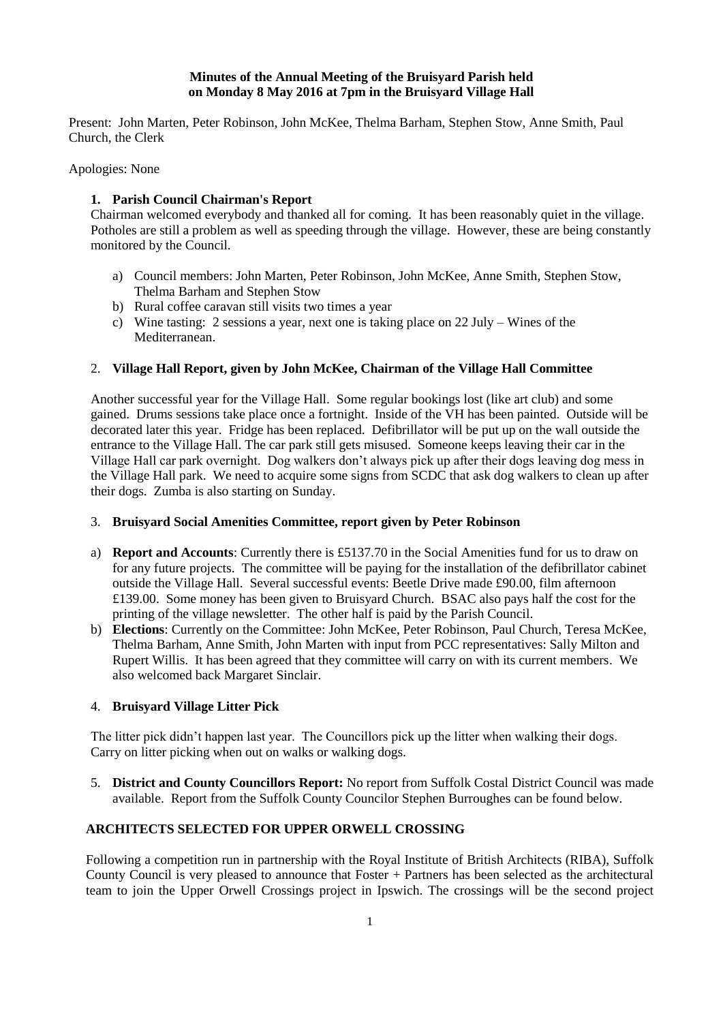## **Minutes of the Annual Meeting of the Bruisyard Parish held on Monday 8 May 2016 at 7pm in the Bruisyard Village Hall**

Present: John Marten, Peter Robinson, John McKee, Thelma Barham, Stephen Stow, Anne Smith, Paul Church, the Clerk

Apologies: None

## **1. Parish Council Chairman's Report**

Chairman welcomed everybody and thanked all for coming. It has been reasonably quiet in the village. Potholes are still a problem as well as speeding through the village. However, these are being constantly monitored by the Council.

- a) Council members: John Marten, Peter Robinson, John McKee, Anne Smith, Stephen Stow, Thelma Barham and Stephen Stow
- b) Rural coffee caravan still visits two times a year
- c) Wine tasting: 2 sessions a year, next one is taking place on 22 July Wines of the Mediterranean.

## 2. **Village Hall Report, given by John McKee, Chairman of the Village Hall Committee**

Another successful year for the Village Hall. Some regular bookings lost (like art club) and some gained. Drums sessions take place once a fortnight. Inside of the VH has been painted. Outside will be decorated later this year. Fridge has been replaced. Defibrillator will be put up on the wall outside the entrance to the Village Hall. The car park still gets misused. Someone keeps leaving their car in the Village Hall car park overnight. Dog walkers don't always pick up after their dogs leaving dog mess in the Village Hall park. We need to acquire some signs from SCDC that ask dog walkers to clean up after their dogs. Zumba is also starting on Sunday.

## 3. **Bruisyard Social Amenities Committee, report given by Peter Robinson**

- a) **Report and Accounts**: Currently there is £5137.70 in the Social Amenities fund for us to draw on for any future projects. The committee will be paying for the installation of the defibrillator cabinet outside the Village Hall. Several successful events: Beetle Drive made £90.00, film afternoon £139.00. Some money has been given to Bruisyard Church. BSAC also pays half the cost for the printing of the village newsletter. The other half is paid by the Parish Council.
- b) **Elections**: Currently on the Committee: John McKee, Peter Robinson, Paul Church, Teresa McKee, Thelma Barham, Anne Smith, John Marten with input from PCC representatives: Sally Milton and Rupert Willis. It has been agreed that they committee will carry on with its current members. We also welcomed back Margaret Sinclair.

## 4. **Bruisyard Village Litter Pick**

The litter pick didn't happen last year. The Councillors pick up the litter when walking their dogs. Carry on litter picking when out on walks or walking dogs.

5. **District and County Councillors Report:** No report from Suffolk Costal District Council was made available. Report from the Suffolk County Councilor Stephen Burroughes can be found below.

# **ARCHITECTS SELECTED FOR UPPER ORWELL CROSSING**

Following a competition run in partnership with the Royal Institute of British Architects (RIBA), Suffolk County Council is very pleased to announce that Foster + Partners has been selected as the architectural team to join the Upper Orwell Crossings project in Ipswich. The crossings will be the second project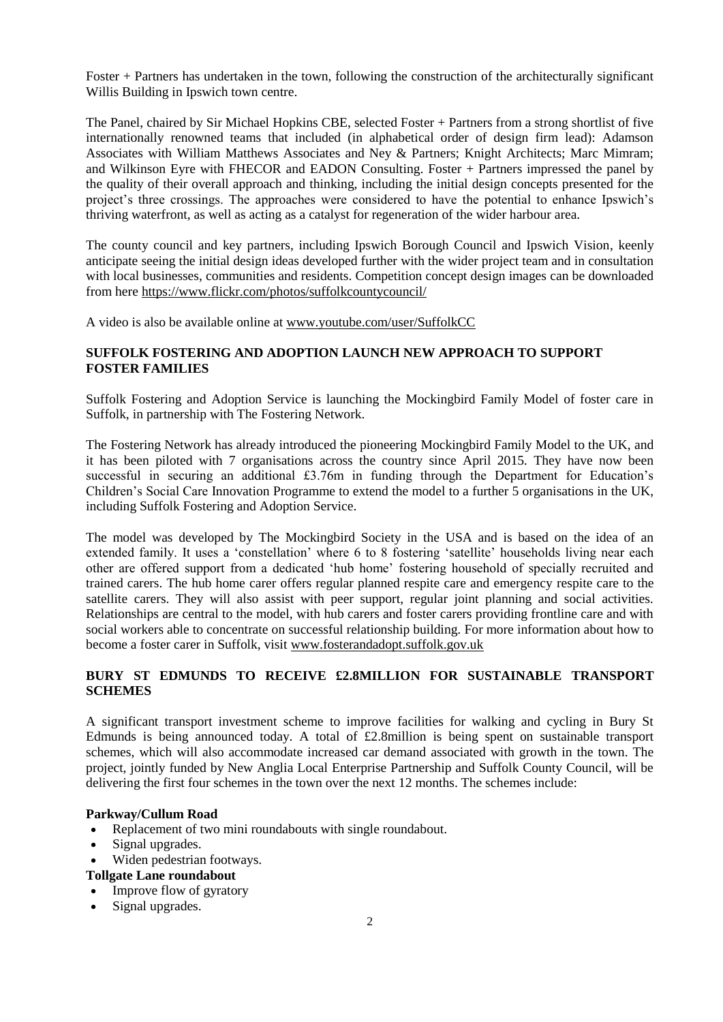Foster + Partners has undertaken in the town, following the construction of the architecturally significant Willis Building in Ipswich town centre.

The Panel, chaired by Sir Michael Hopkins CBE, selected Foster + Partners from a strong shortlist of five internationally renowned teams that included (in alphabetical order of design firm lead): Adamson Associates with William Matthews Associates and Ney & Partners; Knight Architects; Marc Mimram; and Wilkinson Eyre with FHECOR and EADON Consulting. Foster + Partners impressed the panel by the quality of their overall approach and thinking, including the initial design concepts presented for the project's three crossings. The approaches were considered to have the potential to enhance Ipswich's thriving waterfront, as well as acting as a catalyst for regeneration of the wider harbour area.

The county council and key partners, including Ipswich Borough Council and Ipswich Vision, keenly anticipate seeing the initial design ideas developed further with the wider project team and in consultation with local businesses, communities and residents. Competition concept design images can be downloaded from here<https://www.flickr.com/photos/suffolkcountycouncil/>

A video is also be available online at [www.youtube.com/user/SuffolkCC](http://www.youtube.com/user/SuffolkCC)

## **SUFFOLK FOSTERING AND ADOPTION LAUNCH NEW APPROACH TO SUPPORT FOSTER FAMILIES**

Suffolk Fostering and Adoption Service is launching the Mockingbird Family Model of foster care in Suffolk, in partnership with The Fostering Network.

The Fostering Network has already introduced the pioneering Mockingbird Family Model to the UK, and it has been piloted with 7 organisations across the country since April 2015. They have now been successful in securing an additional £3.76m in funding through the Department for Education's Children's Social Care Innovation Programme to extend the model to a further 5 organisations in the UK, including Suffolk Fostering and Adoption Service.

The model was developed by The Mockingbird Society in the USA and is based on the idea of an extended family. It uses a 'constellation' where 6 to 8 fostering 'satellite' households living near each other are offered support from a dedicated 'hub home' fostering household of specially recruited and trained carers. The hub home carer offers regular planned respite care and emergency respite care to the satellite carers. They will also assist with peer support, regular joint planning and social activities. Relationships are central to the model, with hub carers and foster carers providing frontline care and with social workers able to concentrate on successful relationship building. For more information about how to become a foster carer in Suffolk, visit [www.fosterandadopt.suffolk.gov.uk](http://www.fosterandadopt.suffolk.gov.uk/)

## **BURY ST EDMUNDS TO RECEIVE £2.8MILLION FOR SUSTAINABLE TRANSPORT SCHEMES**

A significant transport investment scheme to improve facilities for walking and cycling in Bury St Edmunds is being announced today. A total of £2.8million is being spent on sustainable transport schemes, which will also accommodate increased car demand associated with growth in the town. The project, jointly funded by New Anglia Local Enterprise Partnership and Suffolk County Council, will be delivering the first four schemes in the town over the next 12 months. The schemes include:

### **Parkway/Cullum Road**

- Replacement of two mini roundabouts with single roundabout.
- Signal upgrades.
- Widen pedestrian footways.

#### **Tollgate Lane roundabout**

- Improve flow of gyratory
- Signal upgrades.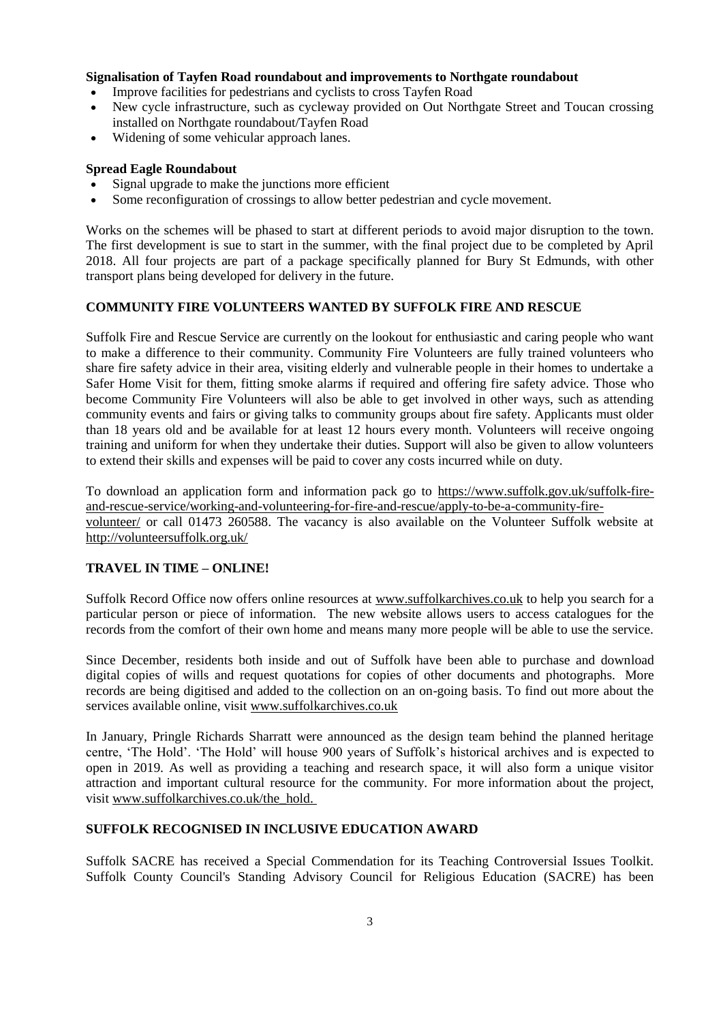## **Signalisation of Tayfen Road roundabout and improvements to Northgate roundabout**

- Improve facilities for pedestrians and cyclists to cross Tayfen Road
- New cycle infrastructure, such as cycleway provided on Out Northgate Street and Toucan crossing installed on Northgate roundabout/Tayfen Road
- Widening of some vehicular approach lanes.

#### **Spread Eagle Roundabout**

- Signal upgrade to make the junctions more efficient
- Some reconfiguration of crossings to allow better pedestrian and cycle movement.

Works on the schemes will be phased to start at different periods to avoid major disruption to the town. The first development is sue to start in the summer, with the final project due to be completed by April 2018. All four projects are part of a package specifically planned for Bury St Edmunds, with other transport plans being developed for delivery in the future.

## **COMMUNITY FIRE VOLUNTEERS WANTED BY SUFFOLK FIRE AND RESCUE**

Suffolk Fire and Rescue Service are currently on the lookout for enthusiastic and caring people who want to make a difference to their community. Community Fire Volunteers are fully trained volunteers who share fire safety advice in their area, visiting elderly and vulnerable people in their homes to undertake a Safer Home Visit for them, fitting smoke alarms if required and offering fire safety advice. Those who become Community Fire Volunteers will also be able to get involved in other ways, such as attending community events and fairs or giving talks to community groups about fire safety. Applicants must older than 18 years old and be available for at least 12 hours every month. Volunteers will receive ongoing training and uniform for when they undertake their duties. Support will also be given to allow volunteers to extend their skills and expenses will be paid to cover any costs incurred while on duty.

To download an application form and information pack go to [https://www.suffolk.gov.uk/suffolk-fire](https://www.suffolk.gov.uk/suffolk-fire-and-rescue-service/working-and-volunteering-for-fire-and-rescue/apply-to-be-a-community-fire-volunteer/)[and-rescue-service/working-and-volunteering-for-fire-and-rescue/apply-to-be-a-community-fire](https://www.suffolk.gov.uk/suffolk-fire-and-rescue-service/working-and-volunteering-for-fire-and-rescue/apply-to-be-a-community-fire-volunteer/)[volunteer/](https://www.suffolk.gov.uk/suffolk-fire-and-rescue-service/working-and-volunteering-for-fire-and-rescue/apply-to-be-a-community-fire-volunteer/) or call 01473 260588. The vacancy is also available on the Volunteer Suffolk website at <http://volunteersuffolk.org.uk/>

## **TRAVEL IN TIME – ONLINE!**

Suffolk Record Office now offers online resources at [www.suffolkarchives.co.uk](http://www.suffolkarchives.co.uk/) to help you search for a particular person or piece of information. The new website allows users to access catalogues for the records from the comfort of their own home and means many more people will be able to use the service.

Since December, residents both inside and out of Suffolk have been able to purchase and download digital copies of wills and request quotations for copies of other documents and photographs. More records are being digitised and added to the collection on an on-going basis. To find out more about the services available online, visit [www.suffolkarchives.co.uk](http://www.suffolkarchives.co.uk/)

In January, Pringle Richards Sharratt were announced as the design team behind the planned heritage centre, 'The Hold'. 'The Hold' will house 900 years of Suffolk's historical archives and is expected to open in 2019. As well as providing a teaching and research space, it will also form a unique visitor attraction and important cultural resource for the community. For more information about the project, visit [www.suffolkarchives.co.uk/the\\_hold.](http://www.suffolkarchives.co.uk/the_hold)

## **SUFFOLK RECOGNISED IN INCLUSIVE EDUCATION AWARD**

Suffolk SACRE has received a Special Commendation for its Teaching Controversial Issues Toolkit. Suffolk County Council's Standing Advisory Council for Religious Education (SACRE) has been